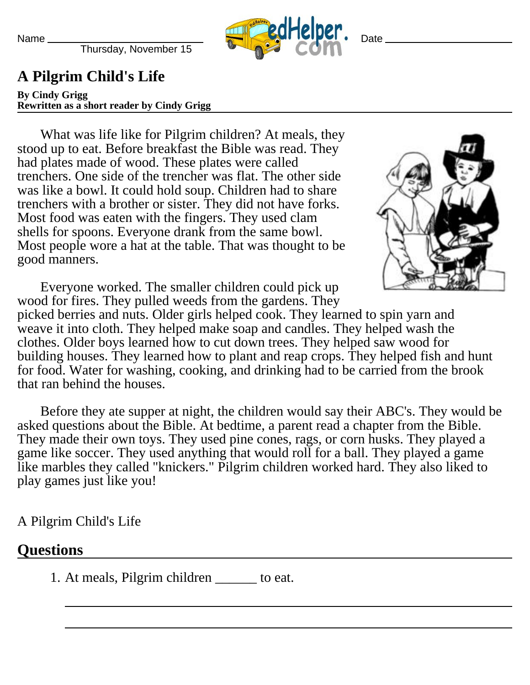Name

Thursday, November 15



**Date** 

## **A Pilgrim Child's Life**

**By Cindy Grigg Rewritten as a short reader by Cindy Grigg**

What was life like for Pilgrim children? At meals, they stood up to eat. Before breakfast the Bible was read. They had plates made of wood. These plates were called trenchers. One side of the trencher was flat. The other side was like a bowl. It could hold soup. Children had to share trenchers with a brother or sister. They did not have forks. Most food was eaten with the fingers. They used clam shells for spoons. Everyone drank from the same bowl. Most people wore a hat at the table. That was thought to be good manners.



Everyone worked. The smaller children could pick up wood for fires. They pulled weeds from the gardens. They

picked berries and nuts. Older girls helped cook. They learned to spin yarn and weave it into cloth. They helped make soap and candles. They helped wash the clothes. Older boys learned how to cut down trees. They helped saw wood for building houses. They learned how to plant and reap crops. They helped fish and hunt for food. Water for washing, cooking, and drinking had to be carried from the brook that ran behind the houses.

Before they ate supper at night, the children would say their ABC's. They would be asked questions about the Bible. At bedtime, a parent read a chapter from the Bible. They made their own toys. They used pine cones, rags, or corn husks. They played a game like soccer. They used anything that would roll for a ball. They played a game like marbles they called "knickers." Pilgrim children worked hard. They also liked to play games just like you!

A Pilgrim Child's Life

## **Questions**

1. At meals, Pilgrim children to eat.